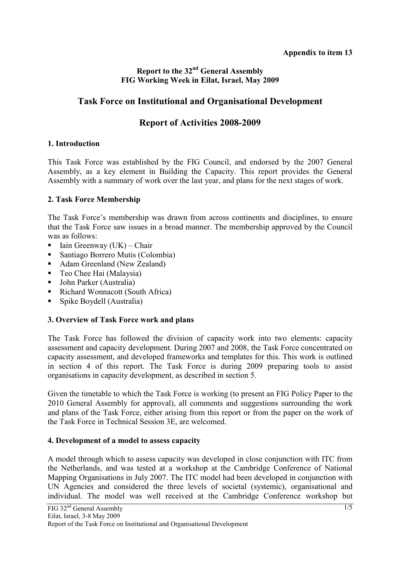### **Report to the 32nd General Assembly FIG Working Week in Eilat, Israel, May 2009**

## **Task Force on Institutional and Organisational Development**

# **Report of Activities 2008-2009**

#### **1. Introduction**

This Task Force was established by the FIG Council, and endorsed by the 2007 General Assembly, as a key element in Building the Capacity. This report provides the General Assembly with a summary of work over the last year, and plans for the next stages of work.

#### **2. Task Force Membership**

The Task Force's membership was drawn from across continents and disciplines, to ensure that the Task Force saw issues in a broad manner. The membership approved by the Council was as follows:

- Iain Greenway (UK) Chair
- Santiago Borrero Mutis (Colombia)
- Adam Greenland (New Zealand)
- Teo Chee Hai (Malaysia)
- John Parker (Australia)
- Richard Wonnacott (South Africa)
- Spike Boydell (Australia)

### **3. Overview of Task Force work and plans**

The Task Force has followed the division of capacity work into two elements: capacity assessment and capacity development. During 2007 and 2008, the Task Force concentrated on capacity assessment, and developed frameworks and templates for this. This work is outlined in section 4 of this report. The Task Force is during 2009 preparing tools to assist organisations in capacity development, as described in section 5.

Given the timetable to which the Task Force is working (to present an FIG Policy Paper to the 2010 General Assembly for approval), all comments and suggestions surrounding the work and plans of the Task Force, either arising from this report or from the paper on the work of the Task Force in Technical Session 3E, are welcomed.

#### **4. Development of a model to assess capacity**

A model through which to assess capacity was developed in close conjunction with ITC from the Netherlands, and was tested at a workshop at the Cambridge Conference of National Mapping Organisations in July 2007. The ITC model had been developed in conjunction with UN Agencies and considered the three levels of societal (systemic), organisational and individual. The model was well received at the Cambridge Conference workshop but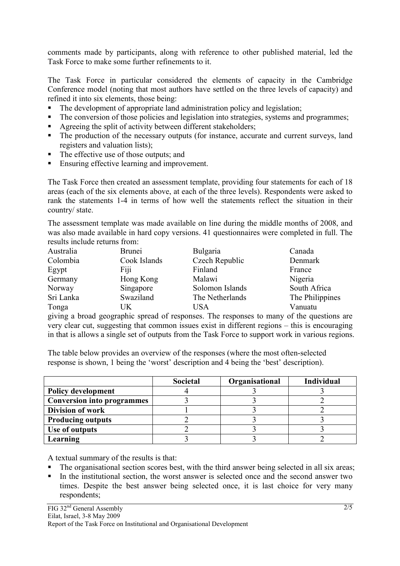comments made by participants, along with reference to other published material, led the Task Force to make some further refinements to it.

The Task Force in particular considered the elements of capacity in the Cambridge Conference model (noting that most authors have settled on the three levels of capacity) and refined it into six elements, those being:

- The development of appropriate land administration policy and legislation;
- The conversion of those policies and legislation into strategies, systems and programmes;
- Agreeing the split of activity between different stakeholders;
- The production of the necessary outputs (for instance, accurate and current surveys, land registers and valuation lists);
- The effective use of those outputs; and
- Ensuring effective learning and improvement.

The Task Force then created an assessment template, providing four statements for each of 18 areas (each of the six elements above, at each of the three levels). Respondents were asked to rank the statements 1-4 in terms of how well the statements reflect the situation in their country/ state.

The assessment template was made available on line during the middle months of 2008, and was also made available in hard copy versions. 41 questionnaires were completed in full. The results include returns from:

| Australia | <b>Brunei</b> | <b>Bulgaria</b> | Canada          |
|-----------|---------------|-----------------|-----------------|
| Colombia  | Cook Islands  | Czech Republic  | Denmark         |
| Egypt     | Fiji          | Finland         | France          |
| Germany   | Hong Kong     | Malawi          | Nigeria         |
| Norway    | Singapore     | Solomon Islands | South Africa    |
| Sri Lanka | Swaziland     | The Netherlands | The Philippines |
| Tonga     | UK            | USA             | Vanuatu         |

giving a broad geographic spread of responses. The responses to many of the questions are very clear cut, suggesting that common issues exist in different regions – this is encouraging in that is allows a single set of outputs from the Task Force to support work in various regions.

The table below provides an overview of the responses (where the most often-selected response is shown, 1 being the 'worst' description and 4 being the 'best' description).

|                                   | <b>Societal</b> | Organisational | <b>Individual</b> |
|-----------------------------------|-----------------|----------------|-------------------|
| Policy development                |                 |                |                   |
| <b>Conversion into programmes</b> |                 |                |                   |
| <b>Division of work</b>           |                 |                |                   |
| <b>Producing outputs</b>          |                 |                |                   |
| Use of outputs                    |                 |                |                   |
| Learning                          |                 |                |                   |

A textual summary of the results is that:

- The organisational section scores best, with the third answer being selected in all six areas;
- In the institutional section, the worst answer is selected once and the second answer two times. Despite the best answer being selected once, it is last choice for very many respondents;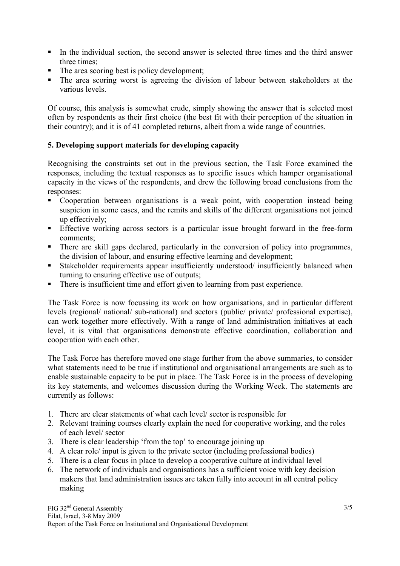- In the individual section, the second answer is selected three times and the third answer three times;
- $\blacksquare$  The area scoring best is policy development;
- The area scoring worst is agreeing the division of labour between stakeholders at the various levels.

Of course, this analysis is somewhat crude, simply showing the answer that is selected most often by respondents as their first choice (the best fit with their perception of the situation in their country); and it is of 41 completed returns, albeit from a wide range of countries.

### **5. Developing support materials for developing capacity**

Recognising the constraints set out in the previous section, the Task Force examined the responses, including the textual responses as to specific issues which hamper organisational capacity in the views of the respondents, and drew the following broad conclusions from the responses:

- Cooperation between organisations is a weak point, with cooperation instead being suspicion in some cases, and the remits and skills of the different organisations not joined up effectively;
- Effective working across sectors is a particular issue brought forward in the free-form comments;
- There are skill gaps declared, particularly in the conversion of policy into programmes, the division of labour, and ensuring effective learning and development;
- Stakeholder requirements appear insufficiently understood/ insufficiently balanced when turning to ensuring effective use of outputs;
- There is insufficient time and effort given to learning from past experience.

The Task Force is now focussing its work on how organisations, and in particular different levels (regional/ national/ sub-national) and sectors (public/ private/ professional expertise), can work together more effectively. With a range of land administration initiatives at each level, it is vital that organisations demonstrate effective coordination, collaboration and cooperation with each other.

The Task Force has therefore moved one stage further from the above summaries, to consider what statements need to be true if institutional and organisational arrangements are such as to enable sustainable capacity to be put in place. The Task Force is in the process of developing its key statements, and welcomes discussion during the Working Week. The statements are currently as follows:

- 1. There are clear statements of what each level/ sector is responsible for
- 2. Relevant training courses clearly explain the need for cooperative working, and the roles of each level/ sector
- 3. There is clear leadership 'from the top' to encourage joining up
- 4. A clear role/ input is given to the private sector (including professional bodies)
- 5. There is a clear focus in place to develop a cooperative culture at individual level
- 6. The network of individuals and organisations has a sufficient voice with key decision makers that land administration issues are taken fully into account in all central policy making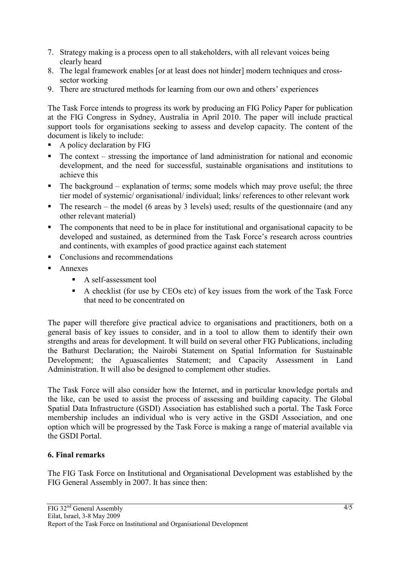- 7. Strategy making is a process open to all stakeholders, with all relevant voices being clearly heard
- 8. The legal framework enables [or at least does not hinder] modern techniques and crosssector working
- 9. There are structured methods for learning from our own and others' experiences

The Task Force intends to progress its work by producing an FIG Policy Paper for publication at the FIG Congress in Sydney, Australia in April 2010. The paper will include practical support tools for organisations seeking to assess and develop capacity. The content of the document is likely to include:

- A policy declaration by FIG
- $\blacksquare$  The context stressing the importance of land administration for national and economic development, and the need for successful, sustainable organisations and institutions to achieve this
- $\blacksquare$  The background explanation of terms; some models which may prove useful; the three tier model of systemic/ organisational/ individual; links/ references to other relevant work
- The research the model (6 areas by 3 levels) used; results of the questionnaire (and any other relevant material)
- The components that need to be in place for institutional and organisational capacity to be developed and sustained, as determined from the Task Force's research across countries and continents, with examples of good practice against each statement
- Conclusions and recommendations
- Annexes
	- A self-assessment tool
	- A checklist (for use by CEOs etc) of key issues from the work of the Task Force that need to be concentrated on

The paper will therefore give practical advice to organisations and practitioners, both on a general basis of key issues to consider, and in a tool to allow them to identify their own strengths and areas for development. It will build on several other FIG Publications, including the Bathurst Declaration; the Nairobi Statement on Spatial Information for Sustainable Development; the Aguascalientes Statement; and Capacity Assessment in Land Administration. It will also be designed to complement other studies.

The Task Force will also consider how the Internet, and in particular knowledge portals and the like, can be used to assist the process of assessing and building capacity. The Global Spatial Data Infrastructure (GSDI) Association has established such a portal. The Task Force membership includes an individual who is very active in the GSDI Association, and one option which will be progressed by the Task Force is making a range of material available via the GSDI Portal.

### **6. Final remarks**

The FIG Task Force on Institutional and Organisational Development was established by the FIG General Assembly in 2007. It has since then: